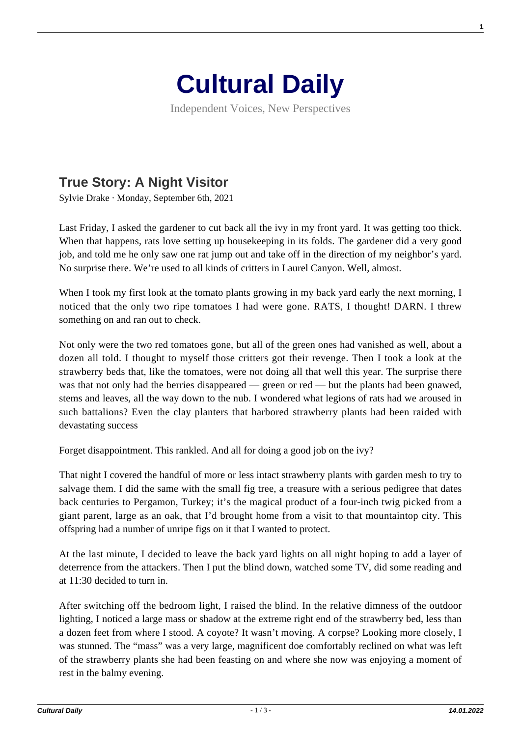

Independent Voices, New Perspectives

## **[True Story: A Night Visitor](https://culturaldaily.com/true-story-a-night-visitor/)**

Sylvie Drake · Monday, September 6th, 2021

Last Friday, I asked the gardener to cut back all the ivy in my front yard. It was getting too thick. When that happens, rats love setting up housekeeping in its folds. The gardener did a very good job, and told me he only saw one rat jump out and take off in the direction of my neighbor's yard. No surprise there. We're used to all kinds of critters in Laurel Canyon. Well, almost.

When I took my first look at the tomato plants growing in my back yard early the next morning. I noticed that the only two ripe tomatoes I had were gone. RATS, I thought! DARN. I threw something on and ran out to check.

Not only were the two red tomatoes gone, but all of the green ones had vanished as well, about a dozen all told. I thought to myself those critters got their revenge. Then I took a look at the strawberry beds that, like the tomatoes, were not doing all that well this year. The surprise there was that not only had the berries disappeared — green or red — but the plants had been gnawed, stems and leaves, all the way down to the nub. I wondered what legions of rats had we aroused in such battalions? Even the clay planters that harbored strawberry plants had been raided with devastating success

Forget disappointment. This rankled. And all for doing a good job on the ivy?

That night I covered the handful of more or less intact strawberry plants with garden mesh to try to salvage them. I did the same with the small fig tree, a treasure with a serious pedigree that dates back centuries to Pergamon, Turkey; it's the magical product of a four-inch twig picked from a giant parent, large as an oak, that I'd brought home from a visit to that mountaintop city. This offspring had a number of unripe figs on it that I wanted to protect.

At the last minute, I decided to leave the back yard lights on all night hoping to add a layer of deterrence from the attackers. Then I put the blind down, watched some TV, did some reading and at 11:30 decided to turn in.

After switching off the bedroom light, I raised the blind. In the relative dimness of the outdoor lighting, I noticed a large mass or shadow at the extreme right end of the strawberry bed, less than a dozen feet from where I stood. A coyote? It wasn't moving. A corpse? Looking more closely, I was stunned. The "mass" was a very large, magnificent doe comfortably reclined on what was left of the strawberry plants she had been feasting on and where she now was enjoying a moment of rest in the balmy evening.

**1**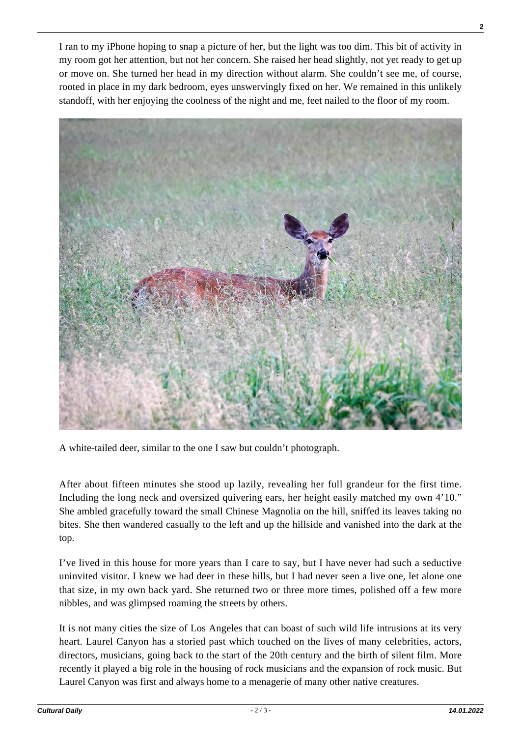I ran to my iPhone hoping to snap a picture of her, but the light was too dim. This bit of activity in my room got her attention, but not her concern. She raised her head slightly, not yet ready to get up or move on. She turned her head in my direction without alarm. She couldn't see me, of course, rooted in place in my dark bedroom, eyes unswervingly fixed on her. We remained in this unlikely standoff, with her enjoying the coolness of the night and me, feet nailed to the floor of my room.



A white-tailed deer, similar to the one I saw but couldn't photograph.

After about fifteen minutes she stood up lazily, revealing her full grandeur for the first time. Including the long neck and oversized quivering ears, her height easily matched my own 4'10." She ambled gracefully toward the small Chinese Magnolia on the hill, sniffed its leaves taking no bites. She then wandered casually to the left and up the hillside and vanished into the dark at the top.

I've lived in this house for more years than I care to say, but I have never had such a seductive uninvited visitor. I knew we had deer in these hills, but I had never seen a live one, let alone one that size, in my own back yard. She returned two or three more times, polished off a few more nibbles, and was glimpsed roaming the streets by others.

It is not many cities the size of Los Angeles that can boast of such wild life intrusions at its very heart. Laurel Canyon has a storied past which touched on the lives of many celebrities, actors, directors, musicians, going back to the start of the 20th century and the birth of silent film. More recently it played a big role in the housing of rock musicians and the expansion of rock music. But Laurel Canyon was first and always home to a menagerie of many other native creatures.